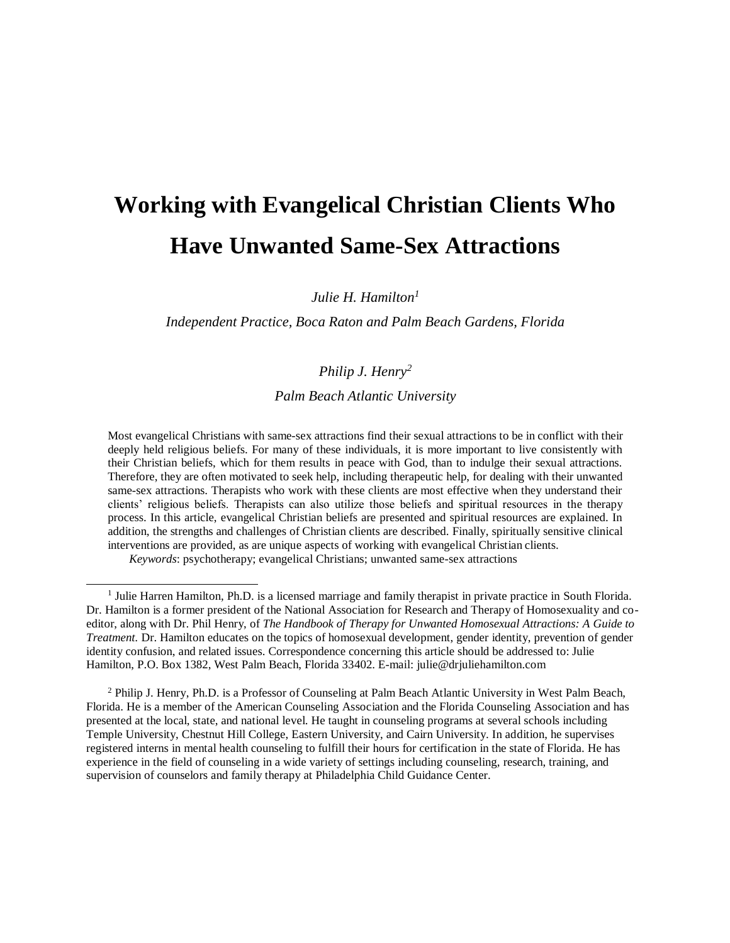# **Working with Evangelical Christian Clients Who Have Unwanted Same-Sex Attractions**

*Julie H. Hamilton<sup>1</sup>*

*Independent Practice, Boca Raton and Palm Beach Gardens, Florida*

# *Philip J. Henry<sup>2</sup>*

*Palm Beach Atlantic University*

Most evangelical Christians with same-sex attractions find their sexual attractions to be in conflict with their deeply held religious beliefs. For many of these individuals, it is more important to live consistently with their Christian beliefs, which for them results in peace with God, than to indulge their sexual attractions. Therefore, they are often motivated to seek help, including therapeutic help, for dealing with their unwanted same-sex attractions. Therapists who work with these clients are most effective when they understand their clients' religious beliefs. Therapists can also utilize those beliefs and spiritual resources in the therapy process. In this article, evangelical Christian beliefs are presented and spiritual resources are explained. In addition, the strengths and challenges of Christian clients are described. Finally, spiritually sensitive clinical interventions are provided, as are unique aspects of working with evangelical Christian clients.

*Keywords*: psychotherapy; evangelical Christians; unwanted same-sex attractions

<sup>2</sup> Philip J. Henry, Ph.D. is a Professor of Counseling at Palm Beach Atlantic University in West Palm Beach, Florida. He is a member of the American Counseling Association and the Florida Counseling Association and has presented at the local, state, and national level. He taught in counseling programs at several schools including Temple University, Chestnut Hill College, Eastern University, and Cairn University. In addition, he supervises registered interns in mental health counseling to fulfill their hours for certification in the state of Florida. He has experience in the field of counseling in a wide variety of settings including counseling, research, training, and supervision of counselors and family therapy at Philadelphia Child Guidance Center.

<sup>&</sup>lt;sup>1</sup> Julie Harren Hamilton, Ph.D. is a licensed marriage and family therapist in private practice in South Florida. Dr. Hamilton is a former president of the National Association for Research and Therapy of Homosexuality and coeditor, along with Dr. Phil Henry, of *The Handbook of Therapy for Unwanted Homosexual Attractions: A Guide to Treatment.* Dr. Hamilton educates on the topics of homosexual development, gender identity, prevention of gender identity confusion, and related issues. Correspondence concerning this article should be addressed to: Julie Hamilton, P.O. Box 1382, West Palm Beach, Florida 33402. E-mail[: julie@drjuliehamilton.com](mailto:julie@drjuliehamilton.com)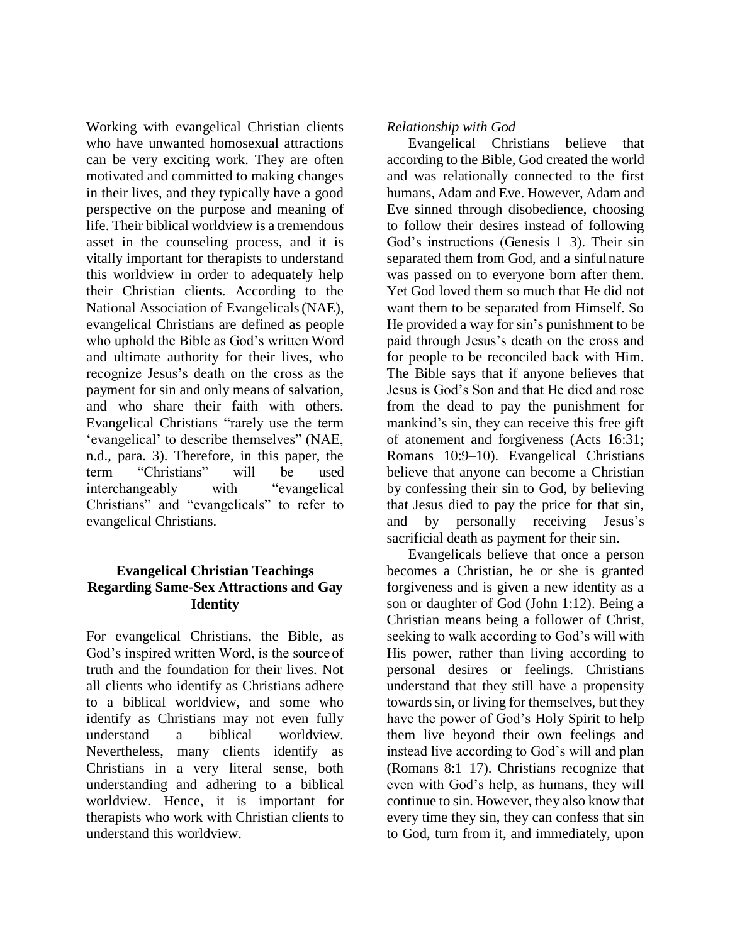Working with evangelical Christian clients who have unwanted homosexual attractions can be very exciting work. They are often motivated and committed to making changes in their lives, and they typically have a good perspective on the purpose and meaning of life. Their biblical worldview is a tremendous asset in the counseling process, and it is vitally important for therapists to understand this worldview in order to adequately help their Christian clients. According to the National Association of Evangelicals(NAE), evangelical Christians are defined as people who uphold the Bible as God's written Word and ultimate authority for their lives, who recognize Jesus's death on the cross as the payment for sin and only means of salvation, and who share their faith with others. Evangelical Christians "rarely use the term 'evangelical' to describe themselves" (NAE, n.d., para. 3). Therefore, in this paper, the term "Christians" will be used interchangeably with "evangelical Christians" and "evangelicals" to refer to evangelical Christians.

#### **Evangelical Christian Teachings Regarding Same-Sex Attractions and Gay Identity**

For evangelical Christians, the Bible, as God's inspired written Word, is the source of truth and the foundation for their lives. Not all clients who identify as Christians adhere to a biblical worldview, and some who identify as Christians may not even fully understand a biblical worldview. Nevertheless, many clients identify as Christians in a very literal sense, both understanding and adhering to a biblical worldview. Hence, it is important for therapists who work with Christian clients to understand this worldview.

#### *Relationship with God*

Evangelical Christians believe that according to the Bible, God created the world and was relationally connected to the first humans, Adam and Eve. However, Adam and Eve sinned through disobedience, choosing to follow their desires instead of following God's instructions (Genesis 1–3). Their sin separated them from God, and a sinful nature was passed on to everyone born after them. Yet God loved them so much that He did not want them to be separated from Himself. So He provided a way for sin's punishment to be paid through Jesus's death on the cross and for people to be reconciled back with Him. The Bible says that if anyone believes that Jesus is God's Son and that He died and rose from the dead to pay the punishment for mankind's sin, they can receive this free gift of atonement and forgiveness (Acts 16:31; Romans 10:9–10). Evangelical Christians believe that anyone can become a Christian by confessing their sin to God, by believing that Jesus died to pay the price for that sin, and by personally receiving Jesus's sacrificial death as payment for their sin.

Evangelicals believe that once a person becomes a Christian, he or she is granted forgiveness and is given a new identity as a son or daughter of God (John 1:12). Being a Christian means being a follower of Christ, seeking to walk according to God's will with His power, rather than living according to personal desires or feelings. Christians understand that they still have a propensity towards sin, or living for themselves, but they have the power of God's Holy Spirit to help them live beyond their own feelings and instead live according to God's will and plan (Romans 8:1–17). Christians recognize that even with God's help, as humans, they will continue to sin. However, they also know that every time they sin, they can confess that sin to God, turn from it, and immediately, upon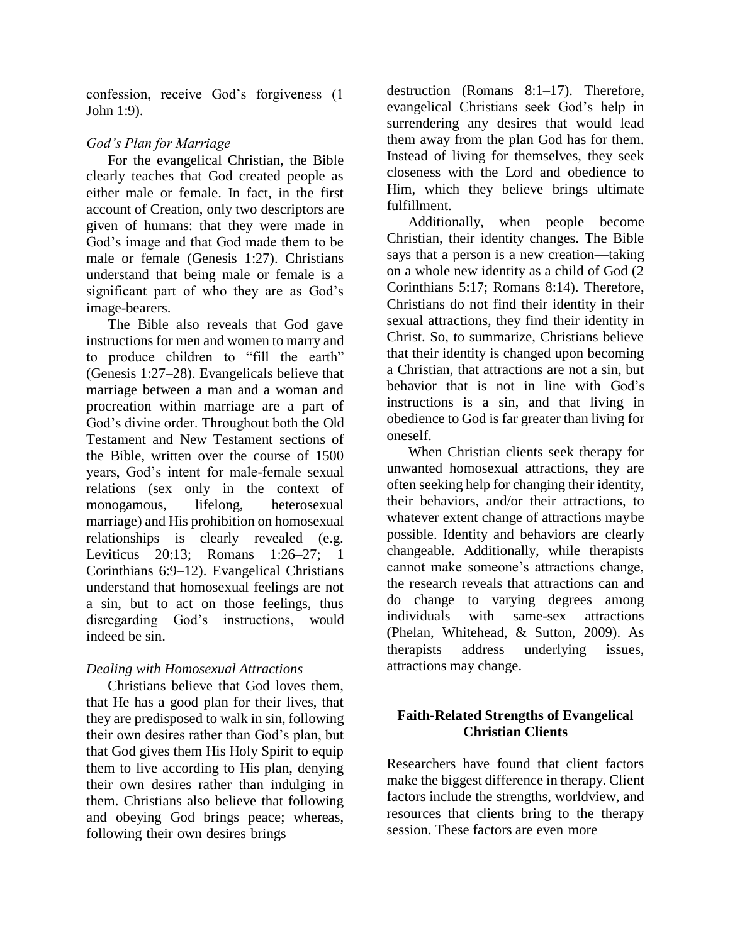confession, receive God's forgiveness (1 John 1:9).

# *God's Plan for Marriage*

For the evangelical Christian, the Bible clearly teaches that God created people as either male or female. In fact, in the first account of Creation, only two descriptors are given of humans: that they were made in God's image and that God made them to be male or female (Genesis 1:27). Christians understand that being male or female is a significant part of who they are as God's image-bearers.

The Bible also reveals that God gave instructions for men and women to marry and to produce children to "fill the earth" (Genesis 1:27–28). Evangelicals believe that marriage between a man and a woman and procreation within marriage are a part of God's divine order. Throughout both the Old Testament and New Testament sections of the Bible, written over the course of 1500 years, God's intent for male-female sexual relations (sex only in the context of monogamous, lifelong, heterosexual marriage) and His prohibition on homosexual relationships is clearly revealed (e.g. Leviticus 20:13; Romans 1:26–27; 1 Corinthians 6:9–12). Evangelical Christians understand that homosexual feelings are not a sin, but to act on those feelings, thus disregarding God's instructions, would indeed be sin.

# *Dealing with Homosexual Attractions*

Christians believe that God loves them, that He has a good plan for their lives, that they are predisposed to walk in sin, following their own desires rather than God's plan, but that God gives them His Holy Spirit to equip them to live according to His plan, denying their own desires rather than indulging in them. Christians also believe that following and obeying God brings peace; whereas, following their own desires brings

destruction (Romans 8:1–17). Therefore, evangelical Christians seek God's help in surrendering any desires that would lead them away from the plan God has for them. Instead of living for themselves, they seek closeness with the Lord and obedience to Him, which they believe brings ultimate fulfillment.

Additionally, when people become Christian, their identity changes. The Bible says that a person is a new creation—taking on a whole new identity as a child of God (2 Corinthians 5:17; Romans 8:14). Therefore, Christians do not find their identity in their sexual attractions, they find their identity in Christ. So, to summarize, Christians believe that their identity is changed upon becoming a Christian, that attractions are not a sin, but behavior that is not in line with God's instructions is a sin, and that living in obedience to God is far greater than living for oneself.

When Christian clients seek therapy for unwanted homosexual attractions, they are often seeking help for changing their identity, their behaviors, and/or their attractions, to whatever extent change of attractions maybe possible. Identity and behaviors are clearly changeable. Additionally, while therapists cannot make someone's attractions change, the research reveals that attractions can and do change to varying degrees among individuals with same-sex attractions (Phelan, Whitehead, & Sutton, 2009). As therapists address underlying issues, attractions may change.

# **Faith-Related Strengths of Evangelical Christian Clients**

Researchers have found that client factors make the biggest difference in therapy. Client factors include the strengths, worldview, and resources that clients bring to the therapy session. These factors are even more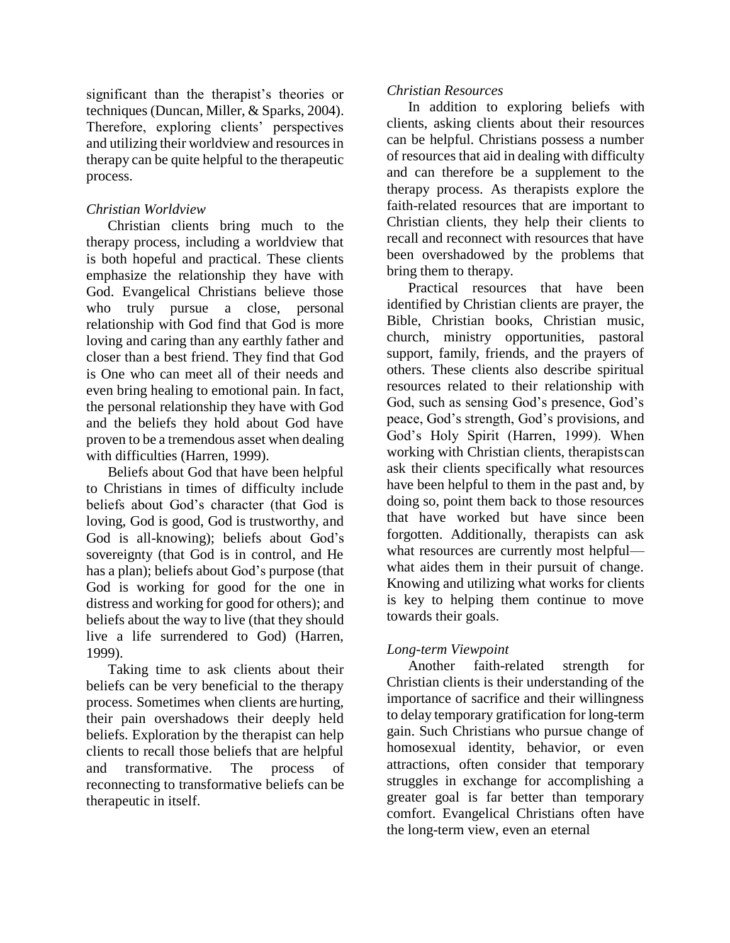significant than the therapist's theories or techniques (Duncan, Miller, & Sparks, 2004). Therefore, exploring clients' perspectives and utilizing their worldview and resources in therapy can be quite helpful to the therapeutic process.

#### *Christian Worldview*

Christian clients bring much to the therapy process, including a worldview that is both hopeful and practical. These clients emphasize the relationship they have with God. Evangelical Christians believe those who truly pursue a close, personal relationship with God find that God is more loving and caring than any earthly father and closer than a best friend. They find that God is One who can meet all of their needs and even bring healing to emotional pain. In fact, the personal relationship they have with God and the beliefs they hold about God have proven to be a tremendous asset when dealing with difficulties (Harren, 1999).

Beliefs about God that have been helpful to Christians in times of difficulty include beliefs about God's character (that God is loving, God is good, God is trustworthy, and God is all-knowing); beliefs about God's sovereignty (that God is in control, and He has a plan); beliefs about God's purpose (that God is working for good for the one in distress and working for good for others); and beliefs about the way to live (that they should live a life surrendered to God) (Harren, 1999).

Taking time to ask clients about their beliefs can be very beneficial to the therapy process. Sometimes when clients are hurting, their pain overshadows their deeply held beliefs. Exploration by the therapist can help clients to recall those beliefs that are helpful and transformative. The process of reconnecting to transformative beliefs can be therapeutic in itself.

#### *Christian Resources*

In addition to exploring beliefs with clients, asking clients about their resources can be helpful. Christians possess a number of resources that aid in dealing with difficulty and can therefore be a supplement to the therapy process. As therapists explore the faith-related resources that are important to Christian clients, they help their clients to recall and reconnect with resources that have been overshadowed by the problems that bring them to therapy.

Practical resources that have been identified by Christian clients are prayer, the Bible, Christian books, Christian music, church, ministry opportunities, pastoral support, family, friends, and the prayers of others. These clients also describe spiritual resources related to their relationship with God, such as sensing God's presence, God's peace, God's strength, God's provisions, and God's Holy Spirit (Harren, 1999). When working with Christian clients, therapistscan ask their clients specifically what resources have been helpful to them in the past and, by doing so, point them back to those resources that have worked but have since been forgotten. Additionally, therapists can ask what resources are currently most helpful what aides them in their pursuit of change. Knowing and utilizing what works for clients is key to helping them continue to move towards their goals.

#### *Long-term Viewpoint*

Another faith-related strength for Christian clients is their understanding of the importance of sacrifice and their willingness to delay temporary gratification for long-term gain. Such Christians who pursue change of homosexual identity, behavior, or even attractions, often consider that temporary struggles in exchange for accomplishing a greater goal is far better than temporary comfort. Evangelical Christians often have the long-term view, even an eternal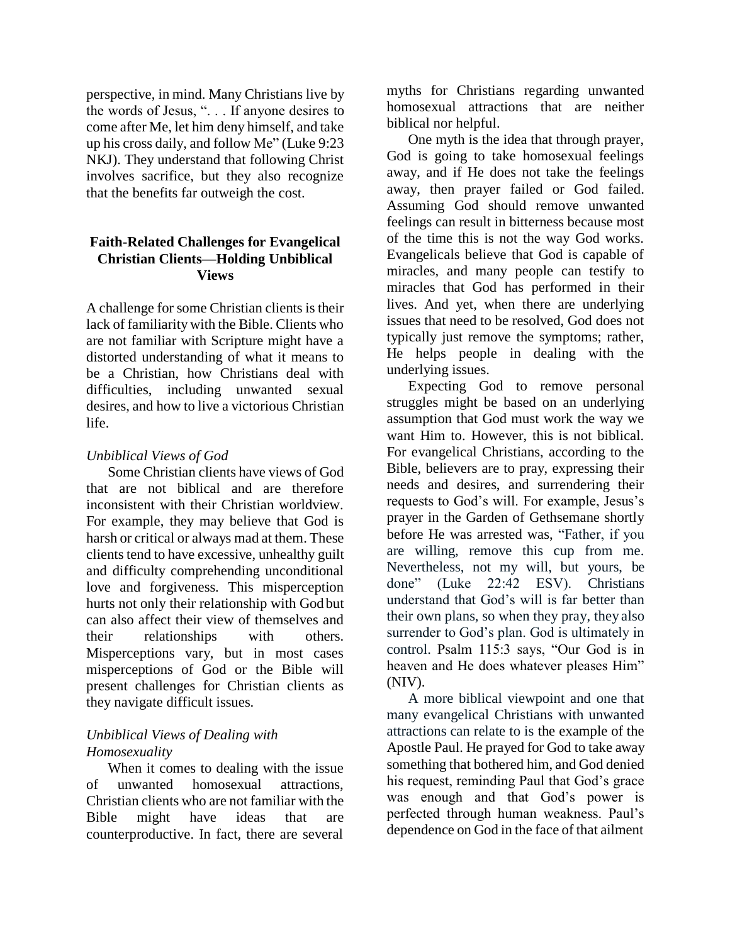perspective, in mind. Many Christians live by the words of Jesus, ". . . If anyone desires to come after Me, let him deny himself, and take up his cross daily, and follow Me" (Luke 9:23 NKJ). They understand that following Christ involves sacrifice, but they also recognize that the benefits far outweigh the cost.

#### **Faith-Related Challenges for Evangelical Christian Clients—Holding Unbiblical Views**

A challenge for some Christian clients is their lack of familiarity with the Bible. Clients who are not familiar with Scripture might have a distorted understanding of what it means to be a Christian, how Christians deal with difficulties, including unwanted sexual desires, and how to live a victorious Christian life.

#### *Unbiblical Views of God*

Some Christian clients have views of God that are not biblical and are therefore inconsistent with their Christian worldview. For example, they may believe that God is harsh or critical or always mad at them. These clients tend to have excessive, unhealthy guilt and difficulty comprehending unconditional love and forgiveness. This misperception hurts not only their relationship with Godbut can also affect their view of themselves and their relationships with others. Misperceptions vary, but in most cases misperceptions of God or the Bible will present challenges for Christian clients as they navigate difficult issues.

# *Unbiblical Views of Dealing with Homosexuality*

When it comes to dealing with the issue of unwanted homosexual attractions, Christian clients who are not familiar with the Bible might have ideas that are counterproductive. In fact, there are several

myths for Christians regarding unwanted homosexual attractions that are neither biblical nor helpful.

One myth is the idea that through prayer, God is going to take homosexual feelings away, and if He does not take the feelings away, then prayer failed or God failed. Assuming God should remove unwanted feelings can result in bitterness because most of the time this is not the way God works. Evangelicals believe that God is capable of miracles, and many people can testify to miracles that God has performed in their lives. And yet, when there are underlying issues that need to be resolved, God does not typically just remove the symptoms; rather, He helps people in dealing with the underlying issues.

Expecting God to remove personal struggles might be based on an underlying assumption that God must work the way we want Him to. However, this is not biblical. For evangelical Christians, according to the Bible, believers are to pray, expressing their needs and desires, and surrendering their requests to God's will. For example, Jesus's prayer in the Garden of Gethsemane shortly before He was arrested was, "Father, if you are willing, remove this cup from me. Nevertheless, not my will, but yours, be done" (Luke 22:42 ESV). Christians understand that God's will is far better than their own plans, so when they pray, they also surrender to God's plan. God is ultimately in control. Psalm 115:3 says, "Our God is in heaven and He does whatever pleases Him" (NIV).

A more biblical viewpoint and one that many evangelical Christians with unwanted attractions can relate to is the example of the Apostle Paul. He prayed for God to take away something that bothered him, and God denied his request, reminding Paul that God's grace was enough and that God's power is perfected through human weakness. Paul's dependence on God in the face of that ailment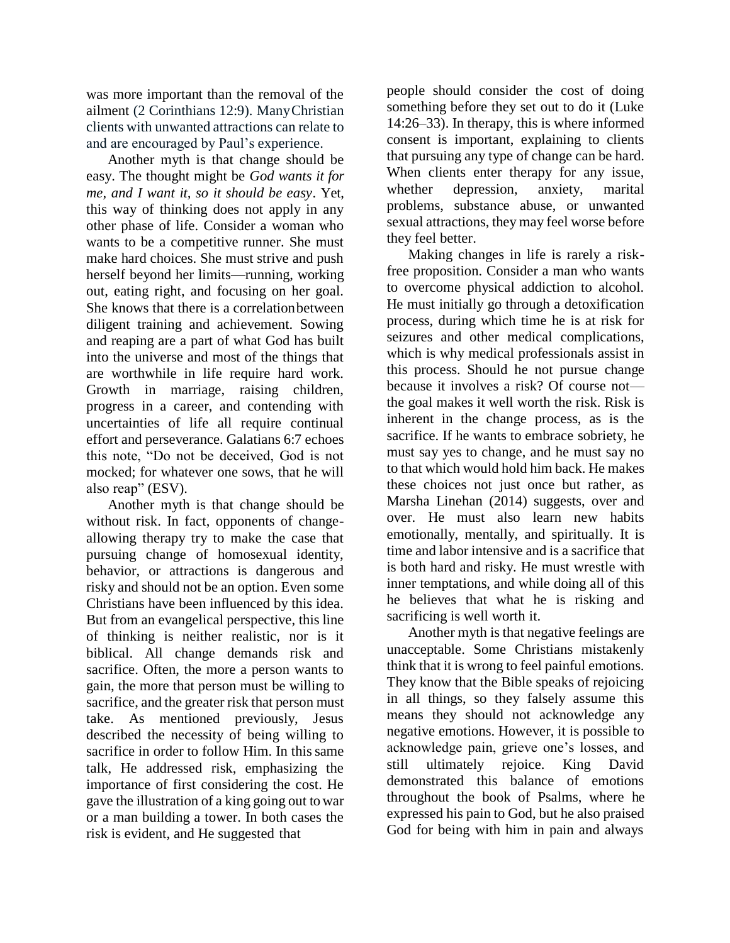was more important than the removal of the ailment (2 Corinthians 12:9). ManyChristian clients with unwanted attractions can relate to and are encouraged by Paul's experience.

Another myth is that change should be easy. The thought might be *God wants it for me, and I want it, so it should be easy*. Yet, this way of thinking does not apply in any other phase of life. Consider a woman who wants to be a competitive runner. She must make hard choices. She must strive and push herself beyond her limits—running, working out, eating right, and focusing on her goal. She knows that there is a correlationbetween diligent training and achievement. Sowing and reaping are a part of what God has built into the universe and most of the things that are worthwhile in life require hard work. Growth in marriage, raising children, progress in a career, and contending with uncertainties of life all require continual effort and perseverance. Galatians 6:7 echoes this note, "Do not be deceived, God is not mocked; for whatever one sows, that he will also reap" (ESV).

Another myth is that change should be without risk. In fact, opponents of changeallowing therapy try to make the case that pursuing change of homosexual identity, behavior, or attractions is dangerous and risky and should not be an option. Even some Christians have been influenced by this idea. But from an evangelical perspective, this line of thinking is neither realistic, nor is it biblical. All change demands risk and sacrifice. Often, the more a person wants to gain, the more that person must be willing to sacrifice, and the greater risk that person must take. As mentioned previously, Jesus described the necessity of being willing to sacrifice in order to follow Him. In this same talk, He addressed risk, emphasizing the importance of first considering the cost. He gave the illustration of a king going out to war or a man building a tower. In both cases the risk is evident, and He suggested that

people should consider the cost of doing something before they set out to do it (Luke 14:26–33). In therapy, this is where informed consent is important, explaining to clients that pursuing any type of change can be hard. When clients enter therapy for any issue, whether depression, anxiety, marital problems, substance abuse, or unwanted sexual attractions, they may feel worse before they feel better.

Making changes in life is rarely a riskfree proposition. Consider a man who wants to overcome physical addiction to alcohol. He must initially go through a detoxification process, during which time he is at risk for seizures and other medical complications, which is why medical professionals assist in this process. Should he not pursue change because it involves a risk? Of course not the goal makes it well worth the risk. Risk is inherent in the change process, as is the sacrifice. If he wants to embrace sobriety, he must say yes to change, and he must say no to that which would hold him back. He makes these choices not just once but rather, as Marsha Linehan (2014) suggests, over and over. He must also learn new habits emotionally, mentally, and spiritually. It is time and labor intensive and is a sacrifice that is both hard and risky. He must wrestle with inner temptations, and while doing all of this he believes that what he is risking and sacrificing is well worth it.

Another myth is that negative feelings are unacceptable. Some Christians mistakenly think that it is wrong to feel painful emotions. They know that the Bible speaks of rejoicing in all things, so they falsely assume this means they should not acknowledge any negative emotions. However, it is possible to acknowledge pain, grieve one's losses, and still ultimately rejoice. King David demonstrated this balance of emotions throughout the book of Psalms, where he expressed his pain to God, but he also praised God for being with him in pain and always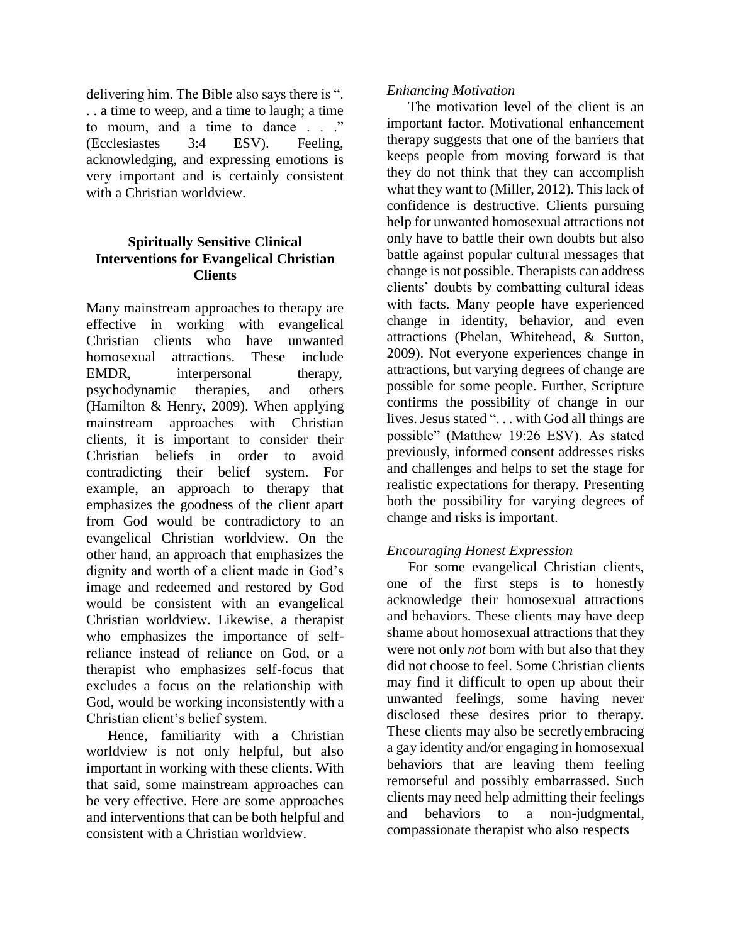delivering him. The Bible also says there is ". . . a time to weep, and a time to laugh; a time to mourn, and a time to dance . . ." (Ecclesiastes 3:4 ESV). Feeling, acknowledging, and expressing emotions is very important and is certainly consistent with a Christian worldview.

# **Spiritually Sensitive Clinical Interventions for Evangelical Christian Clients**

Many mainstream approaches to therapy are effective in working with evangelical Christian clients who have unwanted homosexual attractions. These include EMDR, interpersonal therapy, psychodynamic therapies, and others (Hamilton & Henry, 2009). When applying mainstream approaches with Christian clients, it is important to consider their Christian beliefs in order to avoid contradicting their belief system. For example, an approach to therapy that emphasizes the goodness of the client apart from God would be contradictory to an evangelical Christian worldview. On the other hand, an approach that emphasizes the dignity and worth of a client made in God's image and redeemed and restored by God would be consistent with an evangelical Christian worldview. Likewise, a therapist who emphasizes the importance of selfreliance instead of reliance on God, or a therapist who emphasizes self-focus that excludes a focus on the relationship with God, would be working inconsistently with a Christian client's belief system.

Hence, familiarity with a Christian worldview is not only helpful, but also important in working with these clients. With that said, some mainstream approaches can be very effective. Here are some approaches and interventions that can be both helpful and consistent with a Christian worldview.

#### *Enhancing Motivation*

The motivation level of the client is an important factor. Motivational enhancement therapy suggests that one of the barriers that keeps people from moving forward is that they do not think that they can accomplish what they want to (Miller, 2012). This lack of confidence is destructive. Clients pursuing help for unwanted homosexual attractions not only have to battle their own doubts but also battle against popular cultural messages that change is not possible. Therapists can address clients' doubts by combatting cultural ideas with facts. Many people have experienced change in identity, behavior, and even attractions (Phelan, Whitehead, & Sutton, 2009). Not everyone experiences change in attractions, but varying degrees of change are possible for some people. Further, Scripture confirms the possibility of change in our lives. Jesus stated ". . . with God all things are possible" (Matthew 19:26 ESV). As stated previously, informed consent addresses risks and challenges and helps to set the stage for realistic expectations for therapy. Presenting both the possibility for varying degrees of change and risks is important.

# *Encouraging Honest Expression*

For some evangelical Christian clients, one of the first steps is to honestly acknowledge their homosexual attractions and behaviors. These clients may have deep shame about homosexual attractions that they were not only *not* born with but also that they did not choose to feel. Some Christian clients may find it difficult to open up about their unwanted feelings, some having never disclosed these desires prior to therapy. These clients may also be secretlyembracing a gay identity and/or engaging in homosexual behaviors that are leaving them feeling remorseful and possibly embarrassed. Such clients may need help admitting their feelings and behaviors to a non-judgmental, compassionate therapist who also respects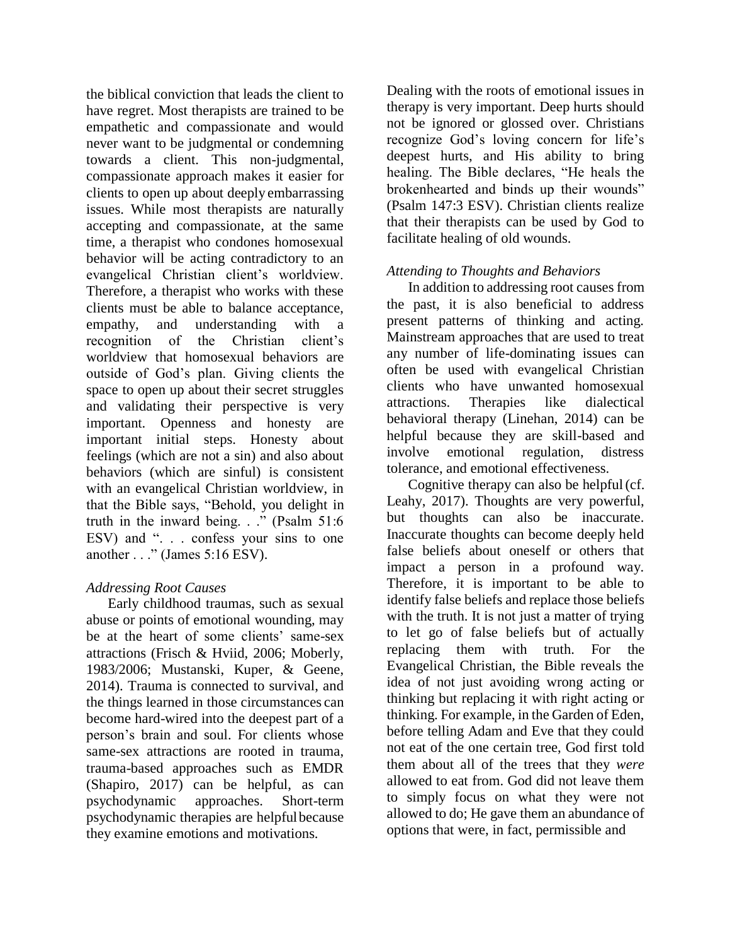the biblical conviction that leads the client to have regret. Most therapists are trained to be empathetic and compassionate and would never want to be judgmental or condemning towards a client. This non-judgmental, compassionate approach makes it easier for clients to open up about deeply embarrassing issues. While most therapists are naturally accepting and compassionate, at the same time, a therapist who condones homosexual behavior will be acting contradictory to an evangelical Christian client's worldview. Therefore, a therapist who works with these clients must be able to balance acceptance, empathy, and understanding with a recognition of the Christian client's worldview that homosexual behaviors are outside of God's plan. Giving clients the space to open up about their secret struggles and validating their perspective is very important. Openness and honesty are important initial steps. Honesty about feelings (which are not a sin) and also about behaviors (which are sinful) is consistent with an evangelical Christian worldview, in that the Bible says, "Behold, you delight in truth in the inward being. . ." (Psalm 51:6 ESV) and ". . . confess your sins to one another . . ." (James 5:16 ESV).

# *Addressing Root Causes*

Early childhood traumas, such as sexual abuse or points of emotional wounding, may be at the heart of some clients' same-sex attractions (Frisch & Hviid, 2006; Moberly, 1983/2006; Mustanski, Kuper, & Geene, 2014). Trauma is connected to survival, and the things learned in those circumstances can become hard-wired into the deepest part of a person's brain and soul. For clients whose same-sex attractions are rooted in trauma, trauma-based approaches such as EMDR (Shapiro, 2017) can be helpful, as can psychodynamic approaches. Short-term psychodynamic therapies are helpfulbecause they examine emotions and motivations.

Dealing with the roots of emotional issues in therapy is very important. Deep hurts should not be ignored or glossed over. Christians recognize God's loving concern for life's deepest hurts, and His ability to bring healing. The Bible declares, "He heals the brokenhearted and binds up their wounds" (Psalm 147:3 ESV). Christian clients realize that their therapists can be used by God to facilitate healing of old wounds.

# *Attending to Thoughts and Behaviors*

In addition to addressing root causes from the past, it is also beneficial to address present patterns of thinking and acting. Mainstream approaches that are used to treat any number of life-dominating issues can often be used with evangelical Christian clients who have unwanted homosexual attractions. Therapies like dialectical behavioral therapy (Linehan, 2014) can be helpful because they are skill-based and involve emotional regulation, distress tolerance, and emotional effectiveness.

Cognitive therapy can also be helpful (cf. Leahy, 2017). Thoughts are very powerful, but thoughts can also be inaccurate. Inaccurate thoughts can become deeply held false beliefs about oneself or others that impact a person in a profound way. Therefore, it is important to be able to identify false beliefs and replace those beliefs with the truth. It is not just a matter of trying to let go of false beliefs but of actually replacing them with truth. For the Evangelical Christian, the Bible reveals the idea of not just avoiding wrong acting or thinking but replacing it with right acting or thinking. For example, in the Garden of Eden, before telling Adam and Eve that they could not eat of the one certain tree, God first told them about all of the trees that they *were*  allowed to eat from. God did not leave them to simply focus on what they were not allowed to do; He gave them an abundance of options that were, in fact, permissible and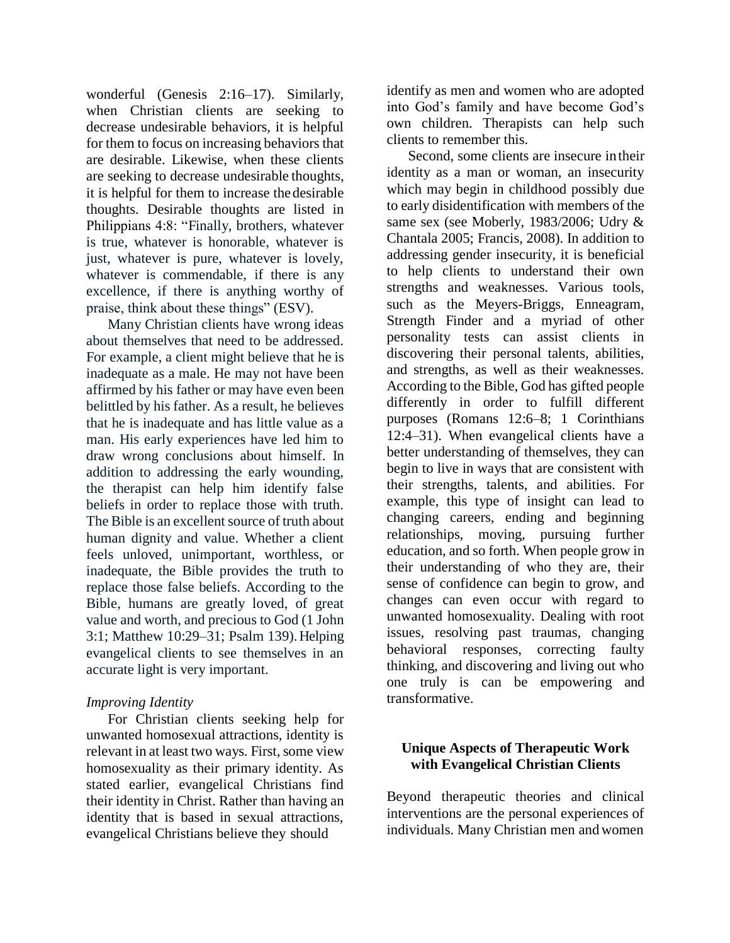wonderful (Genesis 2:16–17). Similarly, when Christian clients are seeking to decrease undesirable behaviors, it is helpful for them to focus on increasing behaviors that are desirable. Likewise, when these clients are seeking to decrease undesirable thoughts, it is helpful for them to increase thedesirable thoughts. Desirable thoughts are listed in Philippians 4:8: "Finally, brothers, whatever is true, whatever is honorable, whatever is just, whatever is pure, whatever is lovely, whatever is commendable, if there is any excellence, if there is anything worthy of praise, think about these things" (ESV).

Many Christian clients have wrong ideas about themselves that need to be addressed. For example, a client might believe that he is inadequate as a male. He may not have been affirmed by his father or may have even been belittled by his father. As a result, he believes that he is inadequate and has little value as a man. His early experiences have led him to draw wrong conclusions about himself. In addition to addressing the early wounding, the therapist can help him identify false beliefs in order to replace those with truth. The Bible is an excellent source of truth about human dignity and value. Whether a client feels unloved, unimportant, worthless, or inadequate, the Bible provides the truth to replace those false beliefs. According to the Bible, humans are greatly loved, of great value and worth, and precious to God (1 John 3:1; Matthew 10:29–31; Psalm 139). Helping evangelical clients to see themselves in an accurate light is very important.

#### *Improving Identity*

For Christian clients seeking help for unwanted homosexual attractions, identity is relevant in at least two ways. First, some view homosexuality as their primary identity. As stated earlier, evangelical Christians find their identity in Christ. Rather than having an identity that is based in sexual attractions, evangelical Christians believe they should

identify as men and women who are adopted into God's family and have become God's own children. Therapists can help such clients to remember this.

Second, some clients are insecure in their identity as a man or woman, an insecurity which may begin in childhood possibly due to early disidentification with members of the same sex (see Moberly, 1983/2006; Udry & Chantala 2005; Francis, 2008). In addition to addressing gender insecurity, it is beneficial to help clients to understand their own strengths and weaknesses. Various tools, such as the Meyers-Briggs, Enneagram, Strength Finder and a myriad of other personality tests can assist clients in discovering their personal talents, abilities, and strengths, as well as their weaknesses. According to the Bible, God has gifted people differently in order to fulfill different purposes (Romans 12:6–8; 1 Corinthians 12:4–31). When evangelical clients have a better understanding of themselves, they can begin to live in ways that are consistent with their strengths, talents, and abilities. For example, this type of insight can lead to changing careers, ending and beginning relationships, moving, pursuing further education, and so forth. When people grow in their understanding of who they are, their sense of confidence can begin to grow, and changes can even occur with regard to unwanted homosexuality. Dealing with root issues, resolving past traumas, changing behavioral responses, correcting faulty thinking, and discovering and living out who one truly is can be empowering and transformative.

# **Unique Aspects of Therapeutic Work with Evangelical Christian Clients**

Beyond therapeutic theories and clinical interventions are the personal experiences of individuals. Many Christian men and women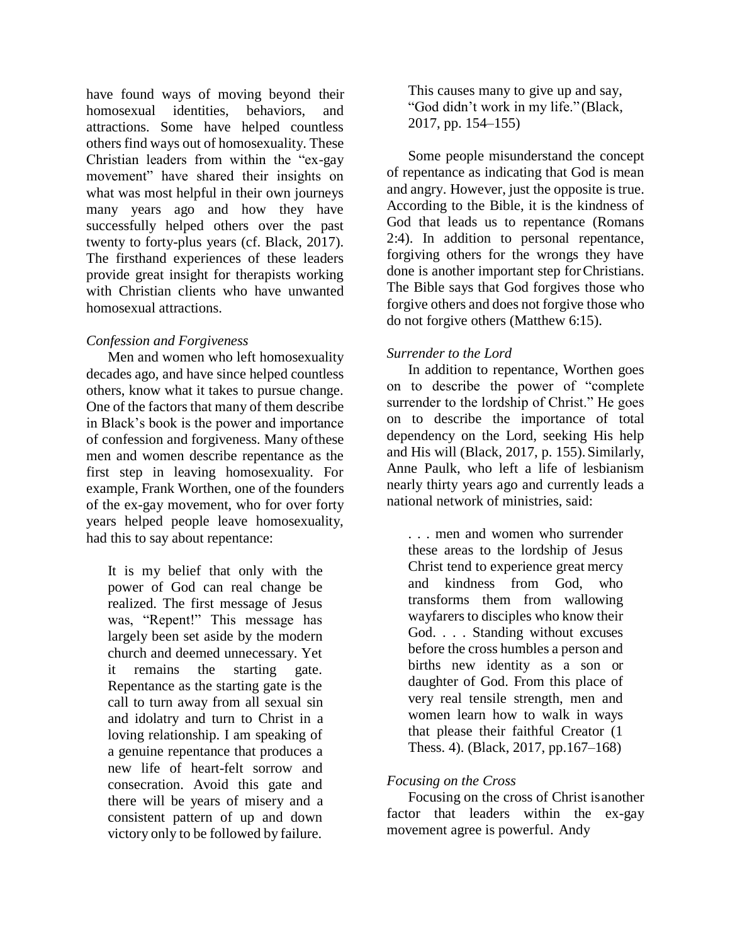have found ways of moving beyond their homosexual identities, behaviors, and attractions. Some have helped countless others find ways out of homosexuality. These Christian leaders from within the "ex-gay movement" have shared their insights on what was most helpful in their own journeys many years ago and how they have successfully helped others over the past twenty to forty-plus years (cf. Black, 2017). The firsthand experiences of these leaders provide great insight for therapists working with Christian clients who have unwanted homosexual attractions.

#### *Confession and Forgiveness*

Men and women who left homosexuality decades ago, and have since helped countless others, know what it takes to pursue change. One of the factors that many of them describe in Black's book is the power and importance of confession and forgiveness. Many ofthese men and women describe repentance as the first step in leaving homosexuality. For example, Frank Worthen, one of the founders of the ex-gay movement, who for over forty years helped people leave homosexuality, had this to say about repentance:

It is my belief that only with the power of God can real change be realized. The first message of Jesus was, "Repent!" This message has largely been set aside by the modern church and deemed unnecessary. Yet it remains the starting gate. Repentance as the starting gate is the call to turn away from all sexual sin and idolatry and turn to Christ in a loving relationship. I am speaking of a genuine repentance that produces a new life of heart-felt sorrow and consecration. Avoid this gate and there will be years of misery and a consistent pattern of up and down victory only to be followed by failure.

This causes many to give up and say, "God didn't work in my life." (Black, 2017, pp. 154–155)

Some people misunderstand the concept of repentance as indicating that God is mean and angry. However, just the opposite is true. According to the Bible, it is the kindness of God that leads us to repentance (Romans 2:4). In addition to personal repentance, forgiving others for the wrongs they have done is another important step forChristians. The Bible says that God forgives those who forgive others and does not forgive those who do not forgive others (Matthew 6:15).

# *Surrender to the Lord*

In addition to repentance, Worthen goes on to describe the power of "complete surrender to the lordship of Christ." He goes on to describe the importance of total dependency on the Lord, seeking His help and His will (Black, 2017, p. 155).Similarly, Anne Paulk, who left a life of lesbianism nearly thirty years ago and currently leads a national network of ministries, said:

. . . men and women who surrender these areas to the lordship of Jesus Christ tend to experience great mercy and kindness from God, who transforms them from wallowing wayfarers to disciples who know their God. . . . Standing without excuses before the cross humbles a person and births new identity as a son or daughter of God. From this place of very real tensile strength, men and women learn how to walk in ways that please their faithful Creator (1 Thess. 4). (Black, 2017, pp.167–168)

# *Focusing on the Cross*

Focusing on the cross of Christ isanother factor that leaders within the ex-gay movement agree is powerful. Andy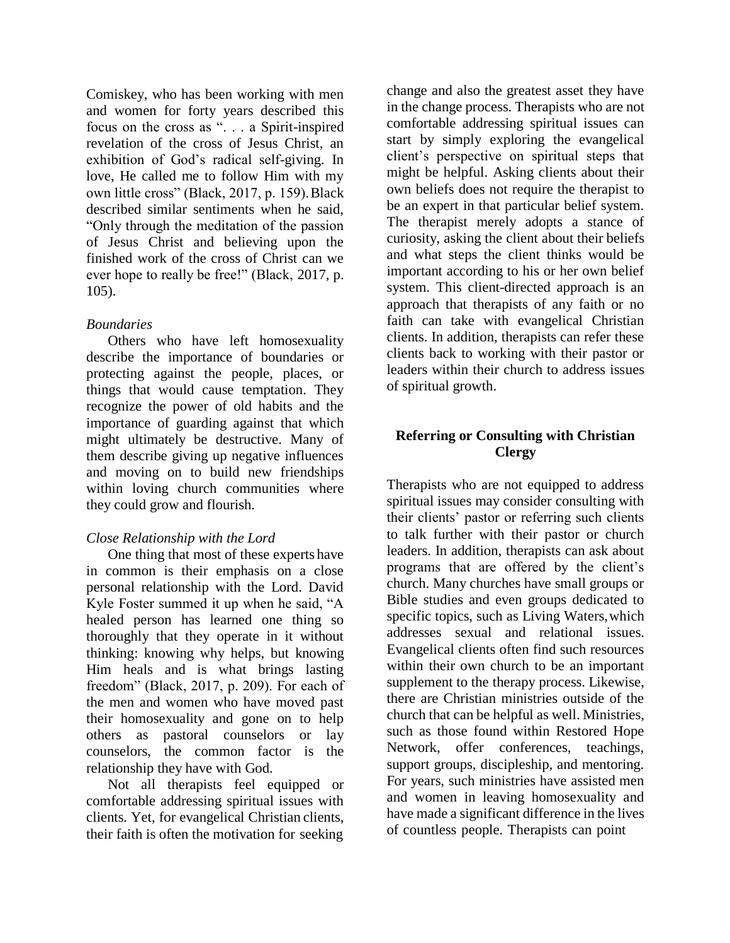Comiskey, who has been working with men and women for forty years described this focus on the cross as ". . . a Spirit-inspired revelation of the cross of Jesus Christ, an exhibition of God's radical self-giving. In love, He called me to follow Him with my own little cross" (Black, 2017, p. 159).Black described similar sentiments when he said, "Only through the meditation of the passion of Jesus Christ and believing upon the finished work of the cross of Christ can we ever hope to really be free!" (Black, 2017, p. 105).

# *Boundaries*

Others who have left homosexuality describe the importance of boundaries or protecting against the people, places, or things that would cause temptation. They recognize the power of old habits and the importance of guarding against that which might ultimately be destructive. Many of them describe giving up negative influences and moving on to build new friendships within loving church communities where they could grow and flourish.

# *Close Relationship with the Lord*

One thing that most of these experts have in common is their emphasis on a close personal relationship with the Lord. David Kyle Foster summed it up when he said, "A healed person has learned one thing so thoroughly that they operate in it without thinking: knowing why helps, but knowing Him heals and is what brings lasting freedom" (Black, 2017, p. 209). For each of the men and women who have moved past their homosexuality and gone on to help others as pastoral counselors or lay counselors, the common factor is the relationship they have with God.

Not all therapists feel equipped or comfortable addressing spiritual issues with clients. Yet, for evangelical Christian clients, their faith is often the motivation for seeking

change and also the greatest asset they have in the change process. Therapists who are not comfortable addressing spiritual issues can start by simply exploring the evangelical client's perspective on spiritual steps that might be helpful. Asking clients about their own beliefs does not require the therapist to be an expert in that particular belief system. The therapist merely adopts a stance of curiosity, asking the client about their beliefs and what steps the client thinks would be important according to his or her own belief system. This client-directed approach is an approach that therapists of any faith or no faith can take with evangelical Christian clients. In addition, therapists can refer these clients back to working with their pastor or leaders within their church to address issues of spiritual growth.

# **Referring or Consulting with Christian Clergy**

Therapists who are not equipped to address spiritual issues may consider consulting with their clients' pastor or referring such clients to talk further with their pastor or church leaders. In addition, therapists can ask about programs that are offered by the client's church. Many churches have small groups or Bible studies and even groups dedicated to specific topics, such as Living Waters,which addresses sexual and relational issues. Evangelical clients often find such resources within their own church to be an important supplement to the therapy process. Likewise, there are Christian ministries outside of the church that can be helpful as well. Ministries, such as those found within Restored Hope Network, offer conferences, teachings, support groups, discipleship, and mentoring. For years, such ministries have assisted men and women in leaving homosexuality and have made a significant difference in the lives of countless people. Therapists can point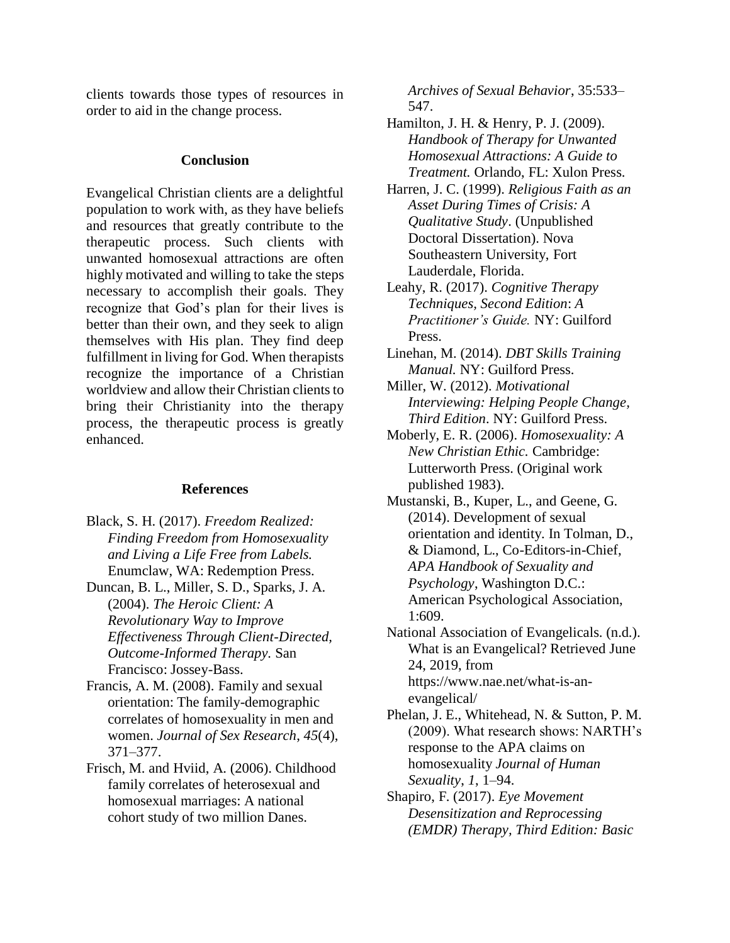clients towards those types of resources in order to aid in the change process.

#### **Conclusion**

Evangelical Christian clients are a delightful population to work with, as they have beliefs and resources that greatly contribute to the therapeutic process. Such clients with unwanted homosexual attractions are often highly motivated and willing to take the steps necessary to accomplish their goals. They recognize that God's plan for their lives is better than their own, and they seek to align themselves with His plan. They find deep fulfillment in living for God. When therapists recognize the importance of a Christian worldview and allow their Christian clients to bring their Christianity into the therapy process, the therapeutic process is greatly enhanced.

#### **References**

- Black, S. H. (2017). *Freedom Realized: Finding Freedom from Homosexuality and Living a Life Free from Labels.* Enumclaw, WA: Redemption Press.
- Duncan, B. L., Miller, S. D., Sparks, J. A. (2004). *The Heroic Client: A Revolutionary Way to Improve Effectiveness Through Client-Directed, Outcome-Informed Therapy.* San Francisco: Jossey-Bass.
- Francis, A. M. (2008). Family and sexual orientation: The family-demographic correlates of homosexuality in men and women. *Journal of Sex Research*, *45*(4), 371–377.
- Frisch, M. and Hviid, A. (2006). Childhood family correlates of heterosexual and homosexual marriages: A national cohort study of two million Danes.

*Archives of Sexual Behavior*, 35:533– 547.

- Hamilton, J. H. & Henry, P. J. (2009). *Handbook of Therapy for Unwanted Homosexual Attractions: A Guide to Treatment.* Orlando, FL: Xulon Press.
- Harren, J. C. (1999). *Religious Faith as an Asset During Times of Crisis: A Qualitative Study*. (Unpublished Doctoral Dissertation). Nova Southeastern University, Fort Lauderdale, Florida.
- Leahy, R. (2017). *Cognitive Therapy Techniques, Second Edition*: *A Practitioner's Guide.* NY: Guilford Press.
- Linehan, M. (2014). *DBT Skills Training Manual.* NY: Guilford Press.
- Miller, W. (2012). *Motivational Interviewing: Helping People Change, Third Edition*. NY: Guilford Press.
- Moberly, E. R. (2006). *Homosexuality: A New Christian Ethic.* Cambridge: Lutterworth Press. (Original work published 1983).
- Mustanski, B., Kuper, L., and Geene, G. (2014). Development of sexual orientation and identity. In Tolman, D., & Diamond, L., Co-Editors-in-Chief, *APA Handbook of Sexuality and Psychology*, Washington D.C.: American Psychological Association, 1:609.
- National Association of Evangelicals. (n.d.). What is an Evangelical? Retrieved June 24, 2019, from https:/[/www.nae.net/what-is-an](http://www.nae.net/what-is-an-)evangelical/
- Phelan, J. E., Whitehead, N. & Sutton, P. M. (2009). What research shows: NARTH's response to the APA claims on homosexuality *Journal of Human Sexuality*, *1*, 1–94.
- Shapiro, F. (2017). *Eye Movement Desensitization and Reprocessing (EMDR) Therapy, Third Edition: Basic*